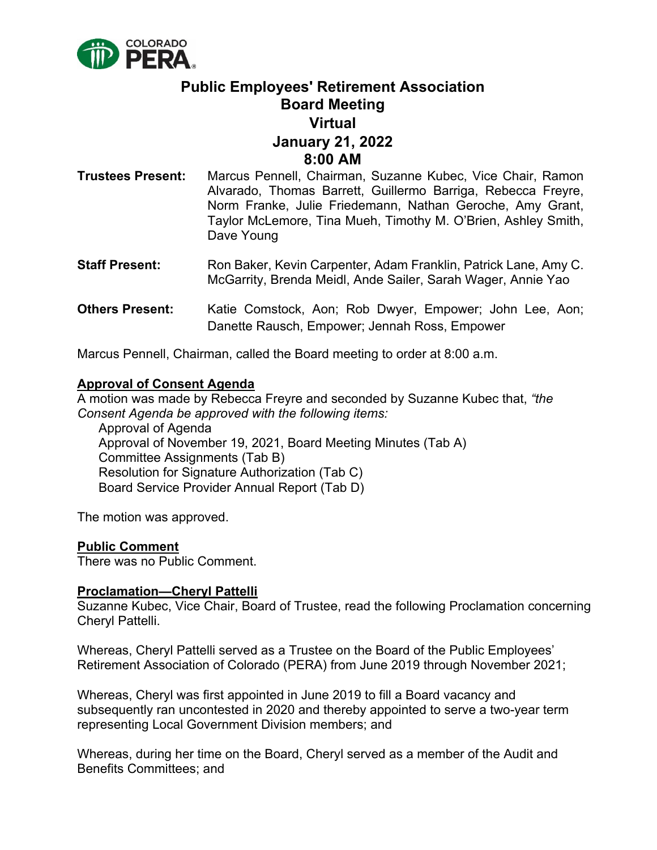

# **Public Employees' Retirement Association Board Meeting Virtual January 21, 2022 8:00 AM**

- **Trustees Present:** Marcus Pennell, Chairman, Suzanne Kubec, Vice Chair, Ramon Alvarado, Thomas Barrett, Guillermo Barriga, Rebecca Freyre, Norm Franke, Julie Friedemann, Nathan Geroche, Amy Grant, Taylor McLemore, Tina Mueh, Timothy M. O'Brien, Ashley Smith, Dave Young
- **Staff Present:** Ron Baker, Kevin Carpenter, Adam Franklin, Patrick Lane, Amy C. McGarrity, Brenda Meidl, Ande Sailer, Sarah Wager, Annie Yao
- **Others Present:** Katie Comstock, Aon; Rob Dwyer, Empower; John Lee, Aon; Danette Rausch, Empower; Jennah Ross, Empower

Marcus Pennell, Chairman, called the Board meeting to order at 8:00 a.m.

## **Approval of Consent Agenda**

A motion was made by Rebecca Freyre and seconded by Suzanne Kubec that, *"the Consent Agenda be approved with the following items:*

Approval of Agenda Approval of November 19, 2021, Board Meeting Minutes (Tab A) Committee Assignments (Tab B) Resolution for Signature Authorization (Tab C) Board Service Provider Annual Report (Tab D)

The motion was approved.

## **Public Comment**

There was no Public Comment.

#### **Proclamation—Cheryl Pattelli**

Suzanne Kubec, Vice Chair, Board of Trustee, read the following Proclamation concerning Cheryl Pattelli.

Whereas, Cheryl Pattelli served as a Trustee on the Board of the Public Employees' Retirement Association of Colorado (PERA) from June 2019 through November 2021;

Whereas, Cheryl was first appointed in June 2019 to fill a Board vacancy and subsequently ran uncontested in 2020 and thereby appointed to serve a two-year term representing Local Government Division members; and

Whereas, during her time on the Board, Cheryl served as a member of the Audit and Benefits Committees; and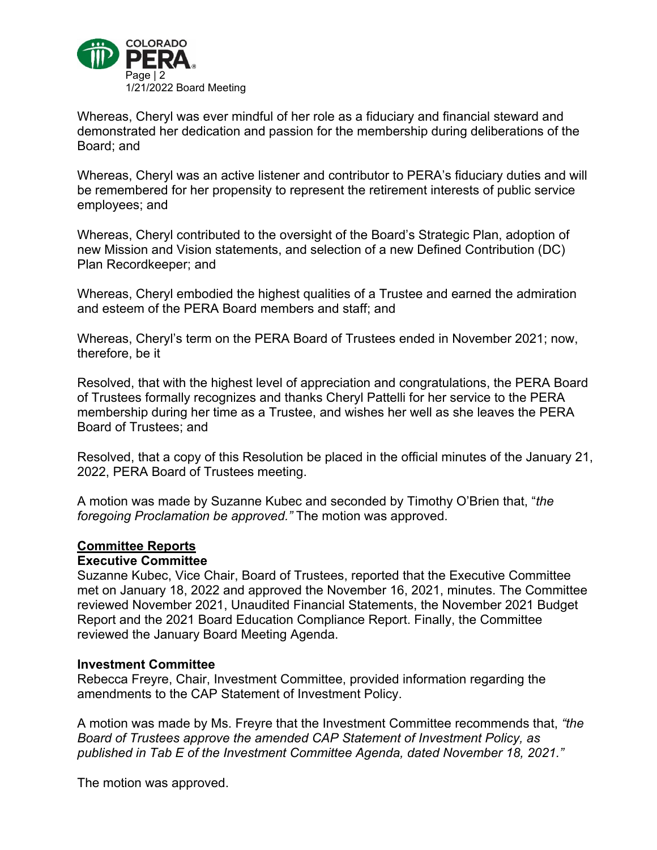

Whereas, Cheryl was ever mindful of her role as a fiduciary and financial steward and demonstrated her dedication and passion for the membership during deliberations of the Board; and

Whereas, Cheryl was an active listener and contributor to PERA's fiduciary duties and will be remembered for her propensity to represent the retirement interests of public service employees; and

Whereas, Cheryl contributed to the oversight of the Board's Strategic Plan, adoption of new Mission and Vision statements, and selection of a new Defined Contribution (DC) Plan Recordkeeper; and

Whereas, Cheryl embodied the highest qualities of a Trustee and earned the admiration and esteem of the PERA Board members and staff; and

Whereas, Cheryl's term on the PERA Board of Trustees ended in November 2021; now, therefore, be it

Resolved, that with the highest level of appreciation and congratulations, the PERA Board of Trustees formally recognizes and thanks Cheryl Pattelli for her service to the PERA membership during her time as a Trustee, and wishes her well as she leaves the PERA Board of Trustees; and

Resolved, that a copy of this Resolution be placed in the official minutes of the January 21, 2022, PERA Board of Trustees meeting.

A motion was made by Suzanne Kubec and seconded by Timothy O'Brien that, "*the foregoing Proclamation be approved."* The motion was approved.

#### **Committee Reports**

#### **Executive Committee**

Suzanne Kubec, Vice Chair, Board of Trustees, reported that the Executive Committee met on January 18, 2022 and approved the November 16, 2021, minutes. The Committee reviewed November 2021, Unaudited Financial Statements, the November 2021 Budget Report and the 2021 Board Education Compliance Report. Finally, the Committee reviewed the January Board Meeting Agenda.

#### **Investment Committee**

Rebecca Freyre, Chair, Investment Committee, provided information regarding the amendments to the CAP Statement of Investment Policy.

A motion was made by Ms. Freyre that the Investment Committee recommends that, *"the Board of Trustees approve the amended CAP Statement of Investment Policy, as published in Tab E of the Investment Committee Agenda, dated November 18, 2021."*

The motion was approved.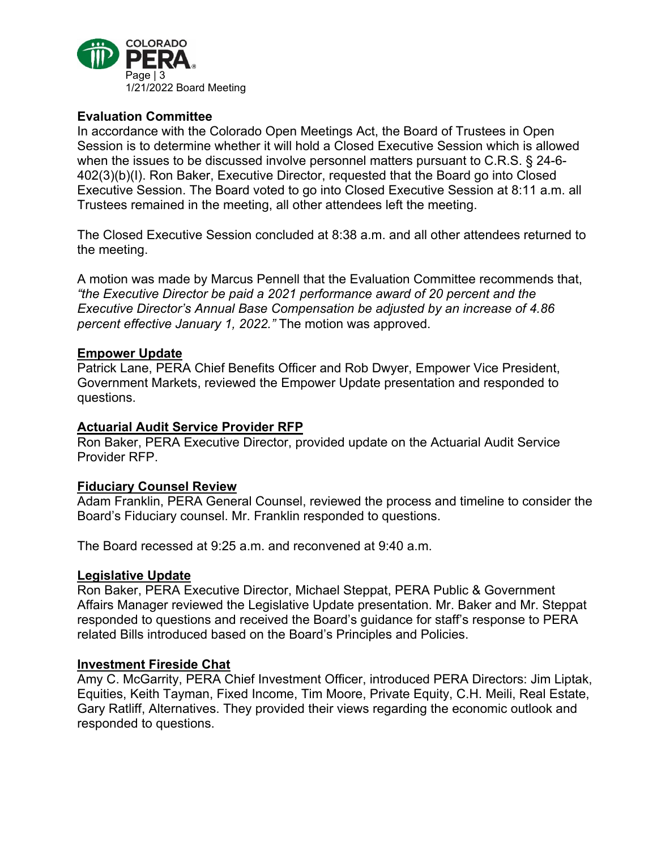

# **Evaluation Committee**

In accordance with the Colorado Open Meetings Act, the Board of Trustees in Open Session is to determine whether it will hold a Closed Executive Session which is allowed when the issues to be discussed involve personnel matters pursuant to C.R.S. § 24-6- 402(3)(b)(I). Ron Baker, Executive Director, requested that the Board go into Closed Executive Session. The Board voted to go into Closed Executive Session at 8:11 a.m. all Trustees remained in the meeting, all other attendees left the meeting.

The Closed Executive Session concluded at 8:38 a.m. and all other attendees returned to the meeting.

A motion was made by Marcus Pennell that the Evaluation Committee recommends that, *"the Executive Director be paid a 2021 performance award of 20 percent and the Executive Director's Annual Base Compensation be adjusted by an increase of 4.86 percent effective January 1, 2022."* The motion was approved.

## **Empower Update**

Patrick Lane, PERA Chief Benefits Officer and Rob Dwyer, Empower Vice President, Government Markets, reviewed the Empower Update presentation and responded to questions.

## **Actuarial Audit Service Provider RFP**

Ron Baker, PERA Executive Director, provided update on the Actuarial Audit Service Provider RFP.

## **Fiduciary Counsel Review**

Adam Franklin, PERA General Counsel, reviewed the process and timeline to consider the Board's Fiduciary counsel. Mr. Franklin responded to questions.

The Board recessed at 9:25 a.m. and reconvened at 9:40 a.m.

## **Legislative Update**

Ron Baker, PERA Executive Director, Michael Steppat, PERA Public & Government Affairs Manager reviewed the Legislative Update presentation. Mr. Baker and Mr. Steppat responded to questions and received the Board's guidance for staff's response to PERA related Bills introduced based on the Board's Principles and Policies.

## **Investment Fireside Chat**

Amy C. McGarrity, PERA Chief Investment Officer, introduced PERA Directors: Jim Liptak, Equities, Keith Tayman, Fixed Income, Tim Moore, Private Equity, C.H. Meili, Real Estate, Gary Ratliff, Alternatives. They provided their views regarding the economic outlook and responded to questions.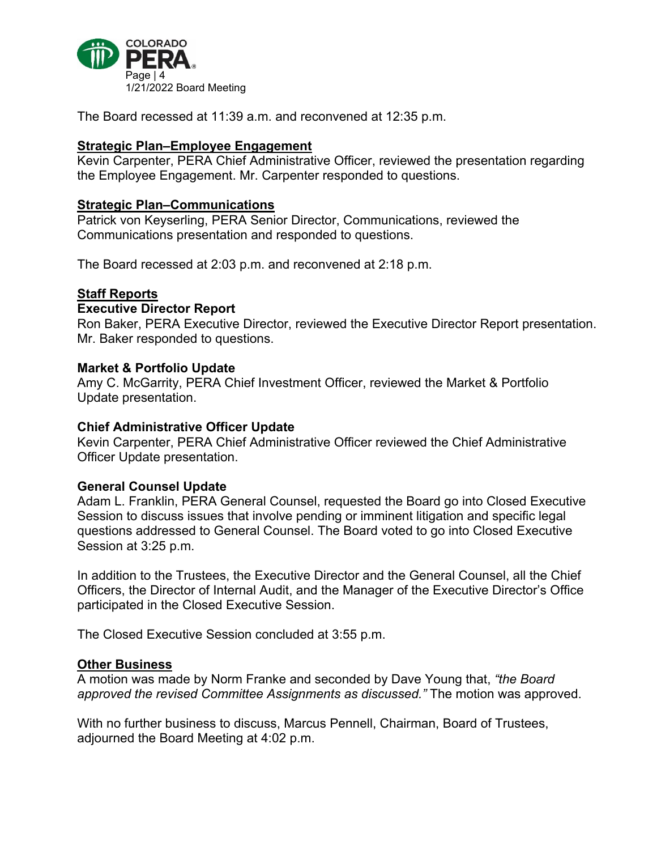

The Board recessed at 11:39 a.m. and reconvened at 12:35 p.m.

# **Strategic Plan–Employee Engagement**

Kevin Carpenter, PERA Chief Administrative Officer, reviewed the presentation regarding the Employee Engagement. Mr. Carpenter responded to questions.

# **Strategic Plan–Communications**

Patrick von Keyserling, PERA Senior Director, Communications, reviewed the Communications presentation and responded to questions.

The Board recessed at 2:03 p.m. and reconvened at 2:18 p.m.

#### **Staff Reports**

#### **Executive Director Report**

Ron Baker, PERA Executive Director, reviewed the Executive Director Report presentation. Mr. Baker responded to questions.

#### **Market & Portfolio Update**

Amy C. McGarrity, PERA Chief Investment Officer, reviewed the Market & Portfolio Update presentation.

#### **Chief Administrative Officer Update**

Kevin Carpenter, PERA Chief Administrative Officer reviewed the Chief Administrative Officer Update presentation.

## **General Counsel Update**

Adam L. Franklin, PERA General Counsel, requested the Board go into Closed Executive Session to discuss issues that involve pending or imminent litigation and specific legal questions addressed to General Counsel. The Board voted to go into Closed Executive Session at 3:25 p.m.

In addition to the Trustees, the Executive Director and the General Counsel, all the Chief Officers, the Director of Internal Audit, and the Manager of the Executive Director's Office participated in the Closed Executive Session.

The Closed Executive Session concluded at 3:55 p.m.

#### **Other Business**

A motion was made by Norm Franke and seconded by Dave Young that, *"the Board approved the revised Committee Assignments as discussed."* The motion was approved.

With no further business to discuss, Marcus Pennell, Chairman, Board of Trustees, adjourned the Board Meeting at 4:02 p.m.